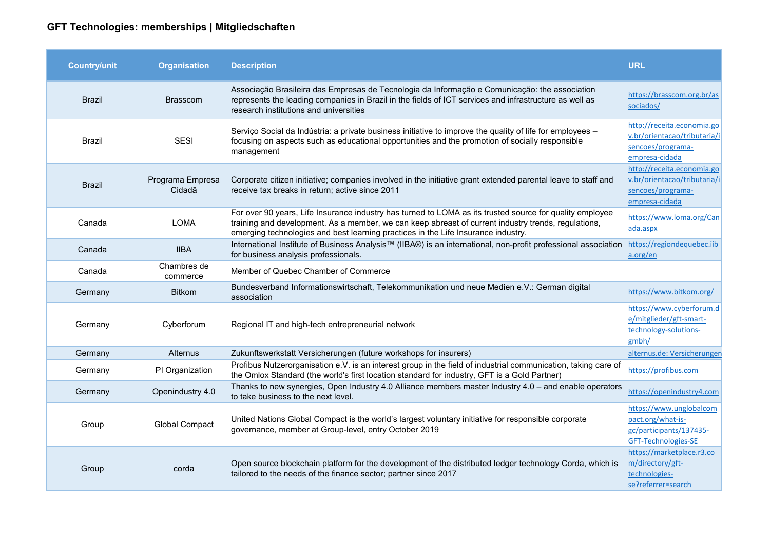## **GFT Technologies: memberships | Mitgliedschaften**

| <b>Country/unit</b> | <b>Organisation</b>        | <b>Description</b>                                                                                                                                                                                                                                                                                   | <b>URL</b>                                                                                        |
|---------------------|----------------------------|------------------------------------------------------------------------------------------------------------------------------------------------------------------------------------------------------------------------------------------------------------------------------------------------------|---------------------------------------------------------------------------------------------------|
| <b>Brazil</b>       | <b>Brasscom</b>            | Associação Brasileira das Empresas de Tecnologia da Informação e Comunicação: the association<br>represents the leading companies in Brazil in the fields of ICT services and infrastructure as well as<br>research institutions and universities                                                    | https://brasscom.org.br/as<br>sociados/                                                           |
| Brazil              | <b>SESI</b>                | Serviço Social da Indústria: a private business initiative to improve the quality of life for employees -<br>focusing on aspects such as educational opportunities and the promotion of socially responsible<br>management                                                                           | http://receita.economia.go<br>v.br/orientacao/tributaria/i<br>sencoes/programa-<br>empresa-cidada |
| <b>Brazil</b>       | Programa Empresa<br>Cidadã | Corporate citizen initiative; companies involved in the initiative grant extended parental leave to staff and<br>receive tax breaks in return; active since 2011                                                                                                                                     | http://receita.economia.go<br>v.br/orientacao/tributaria/i<br>sencoes/programa-<br>empresa-cidada |
| Canada              | <b>LOMA</b>                | For over 90 years, Life Insurance industry has turned to LOMA as its trusted source for quality employee<br>training and development. As a member, we can keep abreast of current industry trends, regulations,<br>emerging technologies and best learning practices in the Life Insurance industry. | https://www.loma.org/Can<br>ada.aspx                                                              |
| Canada              | <b>IIBA</b>                | International Institute of Business Analysis™ (IIBA®) is an international, non-profit professional association<br>for business analysis professionals.                                                                                                                                               | https://regiondequebec.iib<br>a.org/en                                                            |
| Canada              | Chambres de<br>commerce    | Member of Quebec Chamber of Commerce                                                                                                                                                                                                                                                                 |                                                                                                   |
| Germany             | <b>Bitkom</b>              | Bundesverband Informationswirtschaft, Telekommunikation und neue Medien e.V.: German digital<br>association                                                                                                                                                                                          | https://www.bitkom.org/                                                                           |
| Germany             | Cyberforum                 | Regional IT and high-tech entrepreneurial network                                                                                                                                                                                                                                                    | https://www.cyberforum.d<br>e/mitglieder/gft-smart-<br>technology-solutions-<br>gmbh/             |
| Germany             | Alternus                   | Zukunftswerkstatt Versicherungen (future workshops for insurers)                                                                                                                                                                                                                                     | alternus.de: Versicherungen                                                                       |
| Germany             | PI Organization            | Profibus Nutzerorganisation e.V. is an interest group in the field of industrial communication, taking care of<br>the Omlox Standard (the world's first location standard for industry, GFT is a Gold Partner)                                                                                       | https://profibus.com                                                                              |
| Germany             | Openindustry 4.0           | Thanks to new synergies, Open Industry 4.0 Alliance members master Industry 4.0 - and enable operators<br>to take business to the next level.                                                                                                                                                        | https://openindustry4.com                                                                         |
| Group               | <b>Global Compact</b>      | United Nations Global Compact is the world's largest voluntary initiative for responsible corporate<br>governance, member at Group-level, entry October 2019                                                                                                                                         | https://www.unglobalcom<br>pact.org/what-is-<br>gc/participants/137435-<br>GFT-Technologies-SE    |
| Group               | corda                      | Open source blockchain platform for the development of the distributed ledger technology Corda, which is<br>tailored to the needs of the finance sector; partner since 2017                                                                                                                          | https://marketplace.r3.co<br>m/directory/gft-<br>technologies-<br>se?referrer=search              |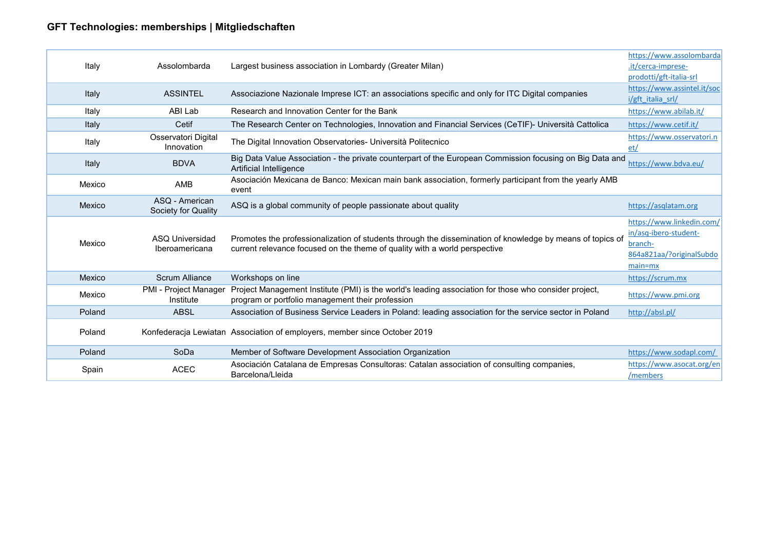## **GFT Technologies: memberships | Mitgliedschaften**

| Italy  | Assolombarda                          | Largest business association in Lombardy (Greater Milan)                                                                                                                                | https://www.assolombarda<br>.it/cerca-imprese-<br>prodotti/gft-italia-srl                              |
|--------|---------------------------------------|-----------------------------------------------------------------------------------------------------------------------------------------------------------------------------------------|--------------------------------------------------------------------------------------------------------|
| Italy  | <b>ASSINTEL</b>                       | Associazione Nazionale Imprese ICT: an associations specific and only for ITC Digital companies                                                                                         | https://www.assintel.it/soc<br>i/gft italia srl/                                                       |
| Italy  | ABI Lab                               | Research and Innovation Center for the Bank                                                                                                                                             | https://www.abilab.it/                                                                                 |
| Italy  | Cetif                                 | The Research Center on Technologies, Innovation and Financial Services (CeTIF)- Università Cattolica                                                                                    | https://www.cetif.it/                                                                                  |
| Italy  | Osservatori Digital<br>Innovation     | The Digital Innovation Observatories- Università Politecnico                                                                                                                            | https://www.osservatori.n<br>et/                                                                       |
| Italy  | <b>BDVA</b>                           | Big Data Value Association - the private counterpart of the European Commission focusing on Big Data and<br>Artificial Intelligence                                                     | https://www.bdva.eu/                                                                                   |
| Mexico | AMB                                   | Asociación Mexicana de Banco: Mexican main bank association, formerly participant from the yearly AMB<br>event                                                                          |                                                                                                        |
| Mexico | ASQ - American<br>Society for Quality | ASQ is a global community of people passionate about quality                                                                                                                            | https://asqlatam.org                                                                                   |
| Mexico | ASQ Universidad<br>Iberoamericana     | Promotes the professionalization of students through the dissemination of knowledge by means of topics of<br>current relevance focused on the theme of quality with a world perspective | https://www.linkedin.com/<br>in/asq-ibero-student-<br>branch-<br>864a821aa/?originalSubdo<br>$main=mx$ |
| Mexico | <b>Scrum Alliance</b>                 | Workshops on line                                                                                                                                                                       | https://scrum.mx                                                                                       |
| Mexico | PMI - Project Manager<br>Institute    | Project Management Institute (PMI) is the world's leading association for those who consider project,<br>program or portfolio management their profession                               | https://www.pmi.org                                                                                    |
| Poland | <b>ABSL</b>                           | Association of Business Service Leaders in Poland: leading association for the service sector in Poland                                                                                 | http://absl.pl/                                                                                        |
| Poland |                                       | Konfederacja Lewiatan Association of employers, member since October 2019                                                                                                               |                                                                                                        |
| Poland | SoDa                                  | Member of Software Development Association Organization                                                                                                                                 | https://www.sodapl.com/                                                                                |
| Spain  | <b>ACEC</b>                           | Asociación Catalana de Empresas Consultoras: Catalan association of consulting companies,<br>Barcelona/Lleida                                                                           | https://www.asocat.org/en<br>/members                                                                  |